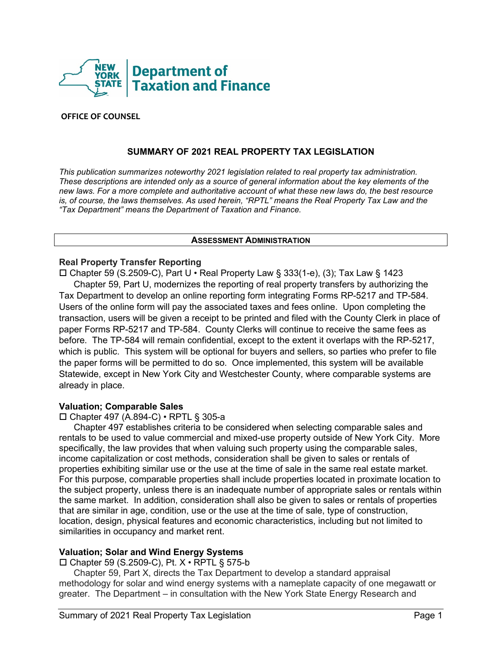

## **OFFICE OF COUNSEL**

# **SUMMARY OF 2021 REAL PROPERTY TAX LEGISLATION**

*This publication summarizes noteworthy 2021 legislation related to real property tax administration. These descriptions are intended only as a source of general information about the key elements of the new laws. For a more complete and authoritative account of what these new laws do, the best resource*  is, of course, the laws themselves. As used herein, "RPTL" means the Real Property Tax Law and the *"Tax Department" means the Department of Taxation and Finance.*

### **ASSESSMENT ADMINISTRATION**

### **Real Property Transfer Reporting**

 Chapter 59 (S.2509-C), Part U • Real Property Law § 333(1-e), (3); Tax Law § 1423 Chapter 59, Part U, modernizes the reporting of real property transfers by authorizing the Tax Department to develop an online reporting form integrating Forms RP-5217 and TP-584. Users of the online form will pay the associated taxes and fees online. Upon completing the transaction, users will be given a receipt to be printed and filed with the County Clerk in place of paper Forms RP-5217 and TP-584. County Clerks will continue to receive the same fees as before. The TP-584 will remain confidential, except to the extent it overlaps with the RP-5217, which is public. This system will be optional for buyers and sellers, so parties who prefer to file the paper forms will be permitted to do so. Once implemented, this system will be available Statewide, except in New York City and Westchester County, where comparable systems are already in place.

### **Valuation; Comparable Sales**

Chapter 497 (A.894-C) • RPTL § 305-a

Chapter 497 establishes criteria to be considered when selecting comparable sales and rentals to be used to value commercial and mixed-use property outside of New York City. More specifically, the law provides that when valuing such property using the comparable sales, income capitalization or cost methods, consideration shall be given to sales or rentals of properties exhibiting similar use or the use at the time of sale in the same real estate market. For this purpose, comparable properties shall include properties located in proximate location to the subject property, unless there is an inadequate number of appropriate sales or rentals within the same market. In addition, consideration shall also be given to sales or rentals of properties that are similar in age, condition, use or the use at the time of sale, type of construction, location, design, physical features and economic characteristics, including but not limited to similarities in occupancy and market rent.

# **Valuation; Solar and Wind Energy Systems**

 $\square$  Chapter 59 (S.2509-C), Pt.  $X \cdot$  RPTL § 575-b

Chapter 59, Part X, directs the Tax Department to develop a standard appraisal methodology for solar and wind energy systems with a nameplate capacity of one megawatt or greater. The Department – in consultation with the New York State Energy Research and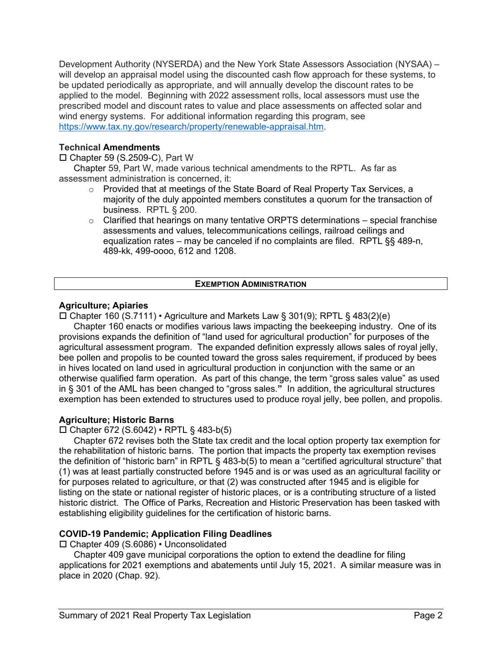Development Authority (NYSERDA) and the New York State Assessors Association (NYSAA) – will develop an appraisal model using the discounted cash flow approach for these systems, to be updated periodically as appropriate, and will annually develop the discount rates to be applied to the model. Beginning with 2022 assessment rolls, local assessors must use the prescribed model and discount rates to value and place assessments on affected solar and wind energy systems. For additional information regarding this program, see [https://www.tax.ny.gov/research/property/renewable-appraisal.htm.](https://www.tax.ny.gov/research/property/renewable-appraisal.htm)

# **Technical Amendments**

 $\square$  Chapter 59 (S.2509-C), Part W

Chapter 59, Part W, made various technical amendments to the RPTL. As far as assessment administration is concerned, it:

- $\circ$  Provided that at meetings of the State Board of Real Property Tax Services, a majority of the duly appointed members constitutes a quorum for the transaction of business. RPTL § 200.
- $\circ$  Clarified that hearings on many tentative ORPTS determinations special franchise assessments and values, telecommunications ceilings, railroad ceilings and equalization rates – may be canceled if no complaints are filed. RPTL §§ 489-n, 489-kk, 499-oooo, 612 and 1208.

# **EXEMPTION ADMINISTRATION**

## **Agriculture; Apiaries**

Chapter 160 (S.7111) • Agriculture and Markets Law § 301(9); RPTL § 483(2)(e)

Chapter 160 enacts or modifies various laws impacting the beekeeping industry. One of its provisions expands the definition of "land used for agricultural production" for purposes of the agricultural assessment program. The expanded definition expressly allows sales of royal jelly, bee pollen and propolis to be counted toward the gross sales requirement, if produced by bees in hives located on land used in agricultural production in conjunction with the same or an otherwise qualified farm operation. As part of this change, the term "gross sales value" as used in § 301 of the AML has been changed to "gross sales.**"** In addition, the agricultural structures exemption has been extended to structures used to produce royal jelly, bee pollen, and propolis.

# **Agriculture; Historic Barns**

Chapter 672 (S.6042) • RPTL § 483-b(5)

Chapter 672 revises both the State tax credit and the local option property tax exemption for the rehabilitation of historic barns. The portion that impacts the property tax exemption revises the definition of "historic barn" in RPTL § 483-b(5) to mean a "certified agricultural structure" that (1) was at least partially constructed before 1945 and is or was used as an agricultural facility or for purposes related to agriculture, or that (2) was constructed after 1945 and is eligible for listing on the state or national register of historic places, or is a contributing structure of a listed historic district. The Office of Parks, Recreation and Historic Preservation has been tasked with establishing eligibility guidelines for the certification of historic barns.

### **COVID-19 Pandemic; Application Filing Deadlines**

Chapter 409 (S.6086) • Unconsolidated

Chapter 409 gave municipal corporations the option to extend the deadline for filing applications for 2021 exemptions and abatements until July 15, 2021. A similar measure was in place in 2020 (Chap. 92).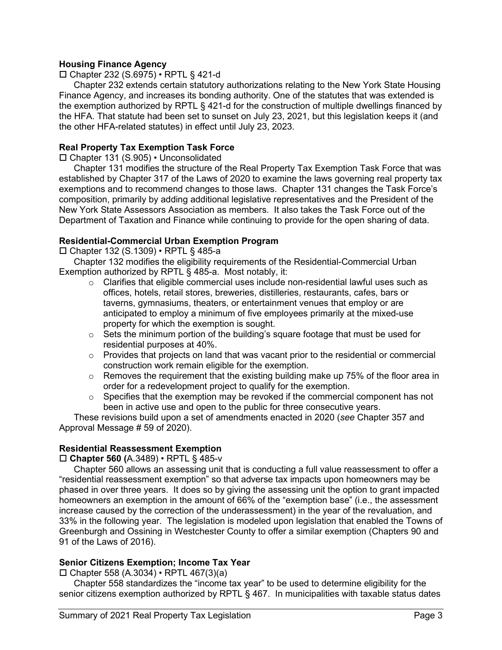# **Housing Finance Agency**

Chapter 232 (S.6975) • RPTL § 421-d

Chapter 232 extends certain statutory authorizations relating to the New York State Housing Finance Agency, and increases its bonding authority. One of the statutes that was extended is the exemption authorized by RPTL § 421-d for the construction of multiple dwellings financed by the HFA. That statute had been set to sunset on July 23, 2021, but this legislation keeps it (and the other HFA-related statutes) in effect until July 23, 2023.

## **Real Property Tax Exemption Task Force**

Chapter 131 (S.905) • Unconsolidated

Chapter 131 modifies the structure of the Real Property Tax Exemption Task Force that was established by Chapter 317 of the Laws of 2020 to examine the laws governing real property tax exemptions and to recommend changes to those laws. Chapter 131 changes the Task Force's composition, primarily by adding additional legislative representatives and the President of the New York State Assessors Association as members. It also takes the Task Force out of the Department of Taxation and Finance while continuing to provide for the open sharing of data.

## **Residential-Commercial Urban Exemption Program**

Chapter 132 (S.1309) • RPTL § 485-a

Chapter 132 modifies the eligibility requirements of the Residential-Commercial Urban Exemption authorized by RPTL § 485-a. Most notably, it:

- $\circ$  Clarifies that eligible commercial uses include non-residential lawful uses such as offices, hotels, retail stores, breweries, distilleries, restaurants, cafes, bars or taverns, gymnasiums, theaters, or entertainment venues that employ or are anticipated to employ a minimum of five employees primarily at the mixed-use property for which the exemption is sought.
- $\circ$  Sets the minimum portion of the building's square footage that must be used for residential purposes at 40%.
- $\circ$  Provides that projects on land that was vacant prior to the residential or commercial construction work remain eligible for the exemption.
- $\circ$  Removes the requirement that the existing building make up 75% of the floor area in order for a redevelopment project to qualify for the exemption.
- $\circ$  Specifies that the exemption may be revoked if the commercial component has not been in active use and open to the public for three consecutive years.

These revisions build upon a set of amendments enacted in 2020 (*see* Chapter 357 and Approval Message # 59 of 2020).

# **Residential Reassessment Exemption**

### **Chapter 560 (**A.3489) • RPTL § 485-v

Chapter 560 allows an assessing unit that is conducting a full value reassessment to offer a "residential reassessment exemption" so that adverse tax impacts upon homeowners may be phased in over three years. It does so by giving the assessing unit the option to grant impacted homeowners an exemption in the amount of 66% of the "exemption base" (i.e., the assessment increase caused by the correction of the underassessment) in the year of the revaluation, and 33% in the following year. The legislation is modeled upon legislation that enabled the Towns of Greenburgh and Ossining in Westchester County to offer a similar exemption (Chapters 90 and 91 of the Laws of 2016).

### **Senior Citizens Exemption; Income Tax Year**

 $\square$  Chapter 558 (A.3034) • RPTL 467(3)(a)

Chapter 558 standardizes the "income tax year" to be used to determine eligibility for the senior citizens exemption authorized by RPTL § 467. In municipalities with taxable status dates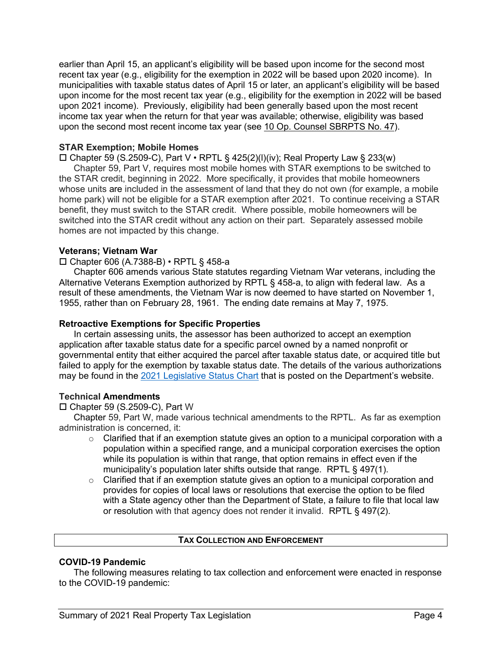earlier than April 15, an applicant's eligibility will be based upon income for the second most recent tax year (e.g., eligibility for the exemption in 2022 will be based upon 2020 income). In municipalities with taxable status dates of April 15 or later, an applicant's eligibility will be based upon income for the most recent tax year (e.g., eligibility for the exemption in 2022 will be based upon 2021 income). Previously, eligibility had been generally based upon the most recent income tax year when the return for that year was available; otherwise, eligibility was based upon the second most recent income tax year (see [10 Op. Counsel SBRPTS No. 47\)](https://www.tax.ny.gov/pubs_and_bulls/orpts/legal_opinions/v10/47.htm).

## **STAR Exemption; Mobile Homes**

 $\square$  Chapter 59 (S.2509-C), Part V • RPTL § 425(2)(I)(iv); Real Property Law § 233(w)

Chapter 59, Part V, requires most mobile homes with STAR exemptions to be switched to the STAR credit, beginning in 2022. More specifically, it provides that mobile homeowners whose units are included in the assessment of land that they do not own (for example, a mobile home park) will not be eligible for a STAR exemption after 2021. To continue receiving a STAR benefit, they must switch to the STAR credit. Where possible, mobile homeowners will be switched into the STAR credit without any action on their part. Separately assessed mobile homes are not impacted by this change.

### **Veterans; Vietnam War**

### Chapter 606 (A.7388-B) • RPTL § 458-a

Chapter 606 amends various State statutes regarding Vietnam War veterans, including the Alternative Veterans Exemption authorized by RPTL § 458-a, to align with federal law. As a result of these amendments, the Vietnam War is now deemed to have started on November 1, 1955, rather than on February 28, 1961. The ending date remains at May 7, 1975.

#### **Retroactive Exemptions for Specific Properties**

In certain assessing units, the assessor has been authorized to accept an exemption application after taxable status date for a specific parcel owned by a named nonprofit or governmental entity that either acquired the parcel after taxable status date, or acquired title but failed to apply for the exemption by taxable status date. The details of the various authorizations may be found in the 2021 [Legislative Status Chart](https://www.tax.ny.gov/research/property/legal/legis/21bills.htm) that is posted on the Department's website.

### **Technical Amendments**

 $\square$  Chapter 59 (S.2509-C), Part W

Chapter 59, Part W, made various technical amendments to the RPTL. As far as exemption administration is concerned, it:

- $\circ$  Clarified that if an exemption statute gives an option to a municipal corporation with a population within a specified range, and a municipal corporation exercises the option while its population is within that range, that option remains in effect even if the municipality's population later shifts outside that range. RPTL § 497(1).
- $\circ$  Clarified that if an exemption statute gives an option to a municipal corporation and provides for copies of local laws or resolutions that exercise the option to be filed with a State agency other than the Department of State, a failure to file that local law or resolution with that agency does not render it invalid. RPTL § 497(2).

### **TAX COLLECTION AND ENFORCEMENT**

### **COVID-19 Pandemic**

The following measures relating to tax collection and enforcement were enacted in response to the COVID-19 pandemic: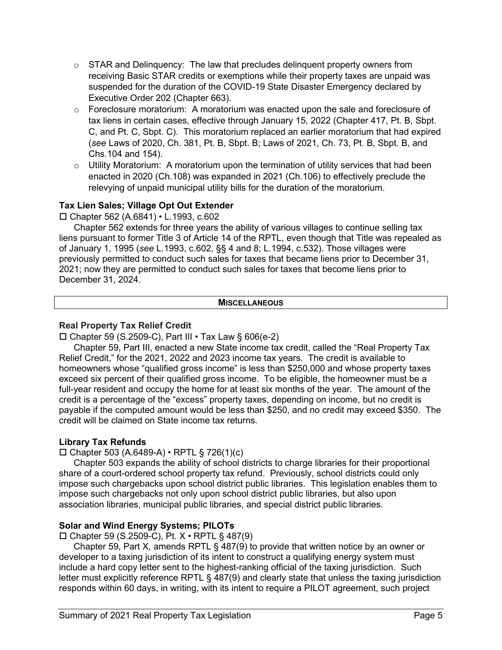- $\circ$  STAR and Delinguency: The law that precludes delinguent property owners from receiving Basic STAR credits or exemptions while their property taxes are unpaid was suspended for the duration of the COVID-19 State Disaster Emergency declared by Executive Order 202 (Chapter 663).
- o Foreclosure moratorium: A moratorium was enacted upon the sale and foreclosure of tax liens in certain cases, effective through January 15, 2022 (Chapter 417, Pt. B, Sbpt. C, and Pt. C, Sbpt. C). This moratorium replaced an earlier moratorium that had expired (*see* Laws of 2020, Ch. 381, Pt. B, Sbpt. B; Laws of 2021, Ch. 73, Pt. B, Sbpt. B, and Chs.104 and 154).
- $\circ$  Utility Moratorium: A moratorium upon the termination of utility services that had been enacted in 2020 (Ch.108) was expanded in 2021 (Ch.106) to effectively preclude the relevying of unpaid municipal utility bills for the duration of the moratorium.

# **Tax Lien Sales; Village Opt Out Extender**

Chapter 562 (A.6841) • L.1993, c.602

Chapter 562 extends for three years the ability of various villages to continue selling tax liens pursuant to former Title 3 of Article 14 of the RPTL, even though that Title was repealed as of January 1, 1995 (*see* L.1993, c.602, §§ 4 and 8; L.1994, c.532). Those villages were previously permitted to conduct such sales for taxes that became liens prior to December 31, 2021; now they are permitted to conduct such sales for taxes that become liens prior to December 31, 2024.

### **MISCELLANEOUS**

# **Real Property Tax Relief Credit**

 $\square$  Chapter 59 (S.2509-C), Part III • Tax Law § 606(e-2)

Chapter 59, Part III, enacted a new State income tax credit, called the "Real Property Tax Relief Credit," for the 2021, 2022 and 2023 income tax years. The credit is available to homeowners whose "qualified gross income" is less than \$250,000 and whose property taxes exceed six percent of their qualified gross income. To be eligible, the homeowner must be a full-year resident and occupy the home for at least six months of the year. The amount of the credit is a percentage of the "excess" property taxes, depending on income, but no credit is payable if the computed amount would be less than \$250, and no credit may exceed \$350. The credit will be claimed on State income tax returns.

# **Library Tax Refunds**

Chapter 503 (A.6489-A) • RPTL § 726(1)(c)

Chapter 503 expands the ability of school districts to charge libraries for their proportional share of a court-ordered school property tax refund. Previously, school districts could only impose such chargebacks upon school district public libraries. This legislation enables them to impose such chargebacks not only upon school district public libraries, but also upon association libraries, municipal public libraries, and special district public libraries.

# **Solar and Wind Energy Systems; PILOTs**

 $\square$  Chapter 59 (S.2509-C), Pt.  $X \cdot$  RPTL § 487(9)

Chapter 59, Part X, amends RPTL § 487(9) to provide that written notice by an owner or developer to a taxing jurisdiction of its intent to construct a qualifying energy system must include a hard copy letter sent to the highest-ranking official of the taxing jurisdiction. Such letter must explicitly reference RPTL § 487(9) and clearly state that unless the taxing jurisdiction responds within 60 days, in writing, with its intent to require a PILOT agreement, such project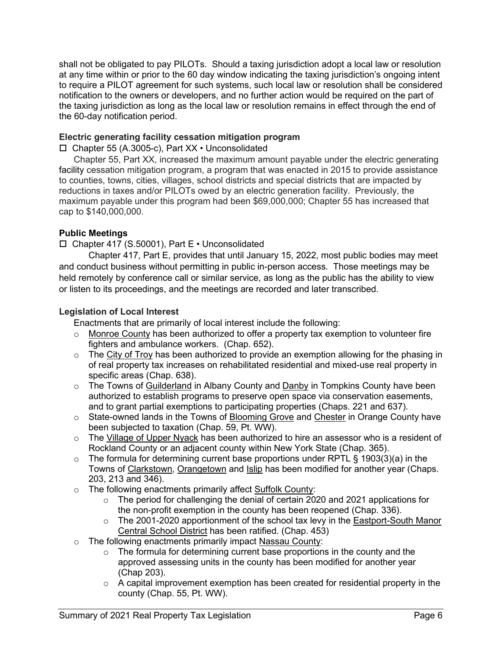shall not be obligated to pay PILOTs. Should a taxing jurisdiction adopt a local law or resolution at any time within or prior to the 60 day window indicating the taxing jurisdiction's ongoing intent to require a PILOT agreement for such systems, such local law or resolution shall be considered notification to the owners or developers, and no further action would be required on the part of the taxing jurisdiction as long as the local law or resolution remains in effect through the end of the 60-day notification period.

# **Electric generating facility cessation mitigation program**

Chapter 55 (A.3005-c), Part XX • Unconsolidated

Chapter 55, Part XX, increased the maximum amount payable under the electric generating facility cessation mitigation program, a program that was enacted in 2015 to provide assistance to counties, towns, cities, villages, school districts and special districts that are impacted by reductions in taxes and/or PILOTs owed by an electric generation facility. Previously, the maximum payable under this program had been \$69,000,000; Chapter 55 has increased that cap to \$140,000,000.

# **Public Meetings**

Chapter 417 (S.50001), Part E • Unconsolidated

Chapter 417, Part E, provides that until January 15, 2022, most public bodies may meet and conduct business without permitting in public in-person access. Those meetings may be held remotely by conference call or similar service, as long as the public has the ability to view or listen to its proceedings, and the meetings are recorded and later transcribed.

# **Legislation of Local Interest**

Enactments that are primarily of local interest include the following:

- $\circ$  Monroe County has been authorized to offer a property tax exemption to volunteer fire fighters and ambulance workers. (Chap. 652).
- $\circ$  The City of Troy has been authorized to provide an exemption allowing for the phasing in of real property tax increases on rehabilitated residential and mixed-use real property in specific areas (Chap. 638).
- o The Towns of Guilderland in Albany County and Danby in Tompkins County have been authorized to establish programs to preserve open space via conservation easements, and to grant partial exemptions to participating properties (Chaps. 221 and 637).
- o State-owned lands in the Towns of Blooming Grove and Chester in Orange County have been subjected to taxation (Chap. 59, Pt. WW).
- $\circ$  The Village of Upper Nyack has been authorized to hire an assessor who is a resident of Rockland County or an adjacent county within New York State (Chap. 365).
- $\circ$  The formula for determining current base proportions under RPTL § 1903(3)(a) in the Towns of Clarkstown, Orangetown and Islip has been modified for another year (Chaps. 203, 213 and 346).
- o The following enactments primarily affect Suffolk County:
	- $\circ$  The period for challenging the denial of certain 2020 and 2021 applications for the non-profit exemption in the county has been reopened (Chap. 336).
	- o The 2001-2020 apportionment of the school tax levy in the Eastport-South Manor Central School District has been ratified. (Chap. 453)
- o The following enactments primarily impact Nassau County:
	- $\circ$  The formula for determining current base proportions in the county and the approved assessing units in the county has been modified for another year (Chap 203).
	- $\circ$  A capital improvement exemption has been created for residential property in the county (Chap. 55, Pt. WW).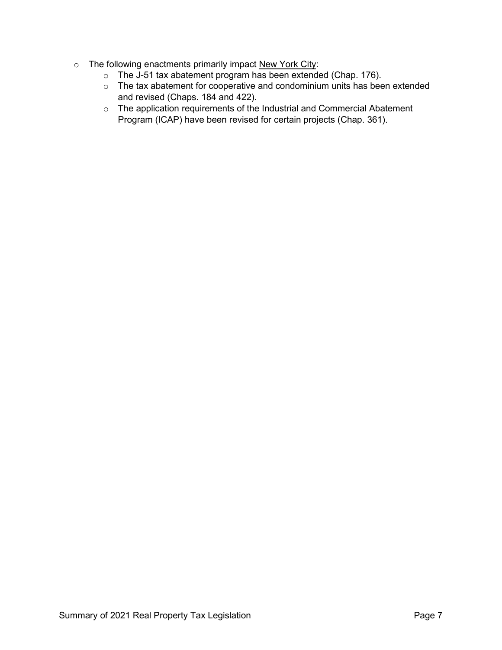- o The following enactments primarily impact New York City:
	- $\circ$  The J-51 tax abatement program has been extended (Chap. 176).
	- o The tax abatement for cooperative and condominium units has been extended and revised (Chaps. 184 and 422).
	- o The application requirements of the Industrial and Commercial Abatement Program (ICAP) have been revised for certain projects (Chap. 361).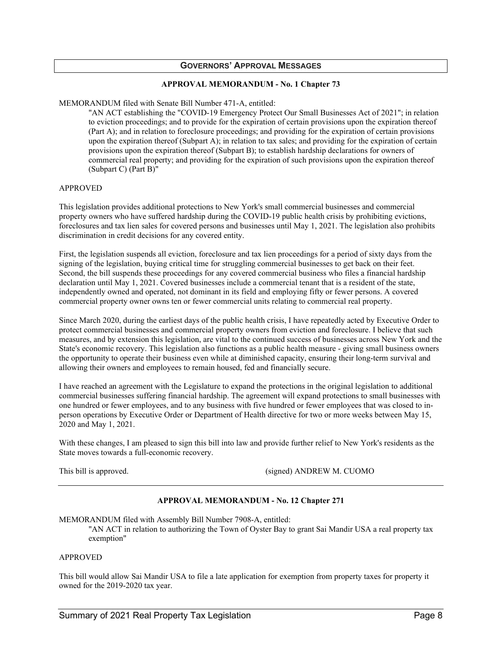#### **GOVERNORS' APPROVAL MESSAGES**

#### **APPROVAL MEMORANDUM - No. 1 Chapter 73**

MEMORANDUM filed with Senate Bill Number 471-A, entitled:

"AN ACT establishing the "COVID-19 Emergency Protect Our Small Businesses Act of 2021"; in relation to eviction proceedings; and to provide for the expiration of certain provisions upon the expiration thereof (Part A); and in relation to foreclosure proceedings; and providing for the expiration of certain provisions upon the expiration thereof (Subpart A); in relation to tax sales; and providing for the expiration of certain provisions upon the expiration thereof (Subpart B); to establish hardship declarations for owners of commercial real property; and providing for the expiration of such provisions upon the expiration thereof (Subpart C) (Part B)"

#### APPROVED

This legislation provides additional protections to New York's small commercial businesses and commercial property owners who have suffered hardship during the COVID-19 public health crisis by prohibiting evictions, foreclosures and tax lien sales for covered persons and businesses until May 1, 2021. The legislation also prohibits discrimination in credit decisions for any covered entity.

First, the legislation suspends all eviction, foreclosure and tax lien proceedings for a period of sixty days from the signing of the legislation, buying critical time for struggling commercial businesses to get back on their feet. Second, the bill suspends these proceedings for any covered commercial business who files a financial hardship declaration until May 1, 2021. Covered businesses include a commercial tenant that is a resident of the state, independently owned and operated, not dominant in its field and employing fifty or fewer persons. A covered commercial property owner owns ten or fewer commercial units relating to commercial real property.

Since March 2020, during the earliest days of the public health crisis, I have repeatedly acted by Executive Order to protect commercial businesses and commercial property owners from eviction and foreclosure. I believe that such measures, and by extension this legislation, are vital to the continued success of businesses across New York and the State's economic recovery. This legislation also functions as a public health measure - giving small business owners the opportunity to operate their business even while at diminished capacity, ensuring their long-term survival and allowing their owners and employees to remain housed, fed and financially secure.

I have reached an agreement with the Legislature to expand the protections in the original legislation to additional commercial businesses suffering financial hardship. The agreement will expand protections to small businesses with one hundred or fewer employees, and to any business with five hundred or fewer employees that was closed to inperson operations by Executive Order or Department of Health directive for two or more weeks between May 15, 2020 and May 1, 2021.

With these changes, I am pleased to sign this bill into law and provide further relief to New York's residents as the State moves towards a full-economic recovery.

This bill is approved. (signed) ANDREW M. CUOMO

#### **APPROVAL MEMORANDUM - No. 12 Chapter 271**

MEMORANDUM filed with Assembly Bill Number 7908-A, entitled:

"AN ACT in relation to authorizing the Town of Oyster Bay to grant Sai Mandir USA a real property tax exemption"

#### APPROVED

This bill would allow Sai Mandir USA to file a late application for exemption from property taxes for property it owned for the 2019-2020 tax year.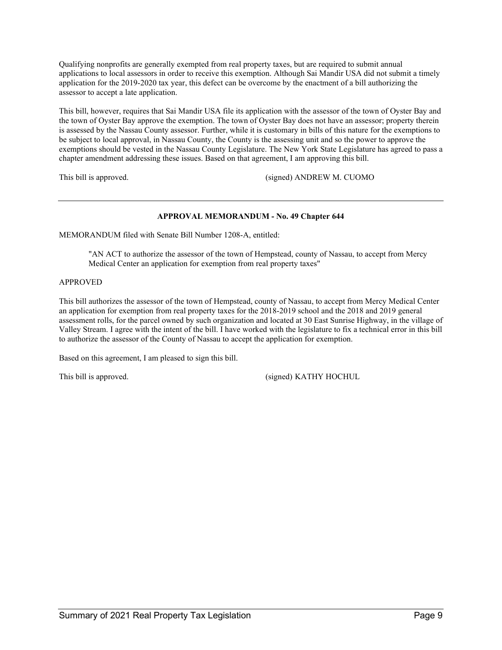Qualifying nonprofits are generally exempted from real property taxes, but are required to submit annual applications to local assessors in order to receive this exemption. Although Sai Mandir USA did not submit a timely application for the 2019-2020 tax year, this defect can be overcome by the enactment of a bill authorizing the assessor to accept a late application.

This bill, however, requires that Sai Mandir USA file its application with the assessor of the town of Oyster Bay and the town of Oyster Bay approve the exemption. The town of Oyster Bay does not have an assessor; property therein is assessed by the Nassau County assessor. Further, while it is customary in bills of this nature for the exemptions to be subject to local approval, in Nassau County, the County is the assessing unit and so the power to approve the exemptions should be vested in the Nassau County Legislature. The New York State Legislature has agreed to pass a chapter amendment addressing these issues. Based on that agreement, I am approving this bill.

This bill is approved. (signed) ANDREW M. CUOMO

### **APPROVAL MEMORANDUM - No. 49 Chapter 644**

MEMORANDUM filed with Senate Bill Number 1208-A, entitled:

"AN ACT to authorize the assessor of the town of Hempstead, county of Nassau, to accept from Mercy Medical Center an application for exemption from real property taxes"

#### APPROVED

This bill authorizes the assessor of the town of Hempstead, county of Nassau, to accept from Mercy Medical Center an application for exemption from real property taxes for the 2018-2019 school and the 2018 and 2019 general assessment rolls, for the parcel owned by such organization and located at 30 East Sunrise Highway, in the village of Valley Stream. I agree with the intent of the bill. I have worked with the legislature to fix a technical error in this bill to authorize the assessor of the County of Nassau to accept the application for exemption.

Based on this agreement, I am pleased to sign this bill.

This bill is approved. This bill is approved.